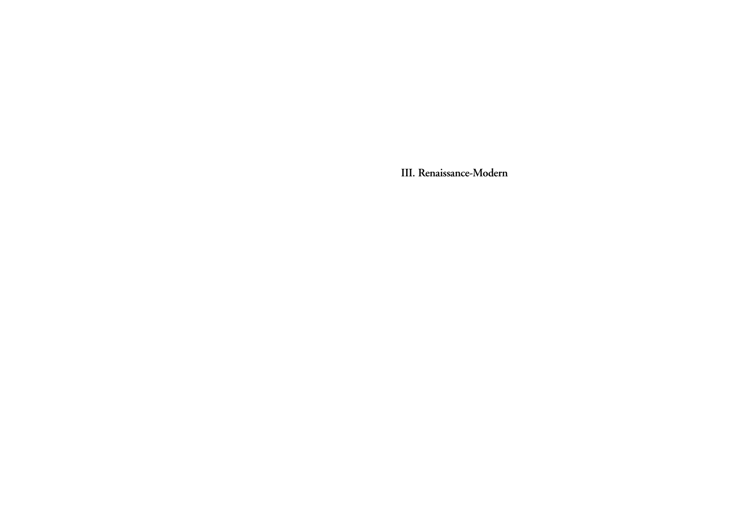**III. Renaissance-Modern**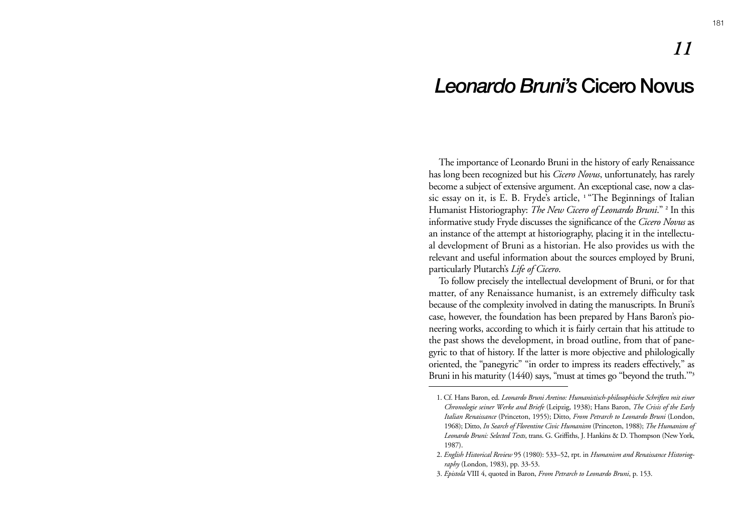# *Leonardo Bruni's* **Cicero Novus**

The importance of Leonardo Bruni in the history of early Renaissance has long been recognized but his *Cicero Novus*, unfortunately, has rarely become a subject of extensive argument. An exceptional case, now a classic essay on it, is E. B. Fryde's article, **1** "The Beginnings of Italian Humanist Historiography: *The New Cicero of Leonardo Bruni*." **<sup>2</sup>** In this informative study Fryde discusses the significance of the *Cicero Novus* as an instance of the attempt at historiography, placing it in the intellectual development of Bruni as a historian. He also provides us with the relevant and useful information about the sources employed by Bruni, particularly Plutarch's *Life of Cicero*.

To follow precisely the intellectual development of Bruni, or for that matter, of any Renaissance humanist, is an extremely difficulty task because of the complexity involved in dating the manuscripts. In Bruni's case, however, the foundation has been prepared by Hans Baron's pioneering works, according to which it is fairly certain that his attitude to the past shows the development, in broad outline, from that of panegyric to that of history. If the latter is more objective and philologically oriented, the "panegyric" "in order to impress its readers effectively," as Bruni in his maturity (1440) says, "must at times go "beyond the truth.'"**<sup>3</sup>**

*11*

<sup>1.</sup> Cf. Hans Baron, ed. *Leonardo Bruni Aretino: Humanistisch-philosophische Schriften mit einer Chronologie seiner Werke and Briefe* (Leipzig, 1938); Hans Baron, *The Crisis of the Early Italian Renaissance* (Princeton, 1955); Ditto, *From Petrarch to Leonardo Bruni* (London, 1968); Ditto, *In Search of Florentine Civic Humanism* (Princeton, 1988); *The Humanism of Leonardo Bruni: Selected Texts*, trans. G. Griffiths, J. Hankins & D. Thompson (New York, 1987).

<sup>2.</sup> *English Historical Review* 95 (1980): 533–52, rpt. in *Humanism and Renaissance Historiography* (London, 1983), pp. 33-53.

<sup>3.</sup> *Epistola* VIII 4, quoted in Baron, *From Petrarch to Leonardo Bruni*, p. 153.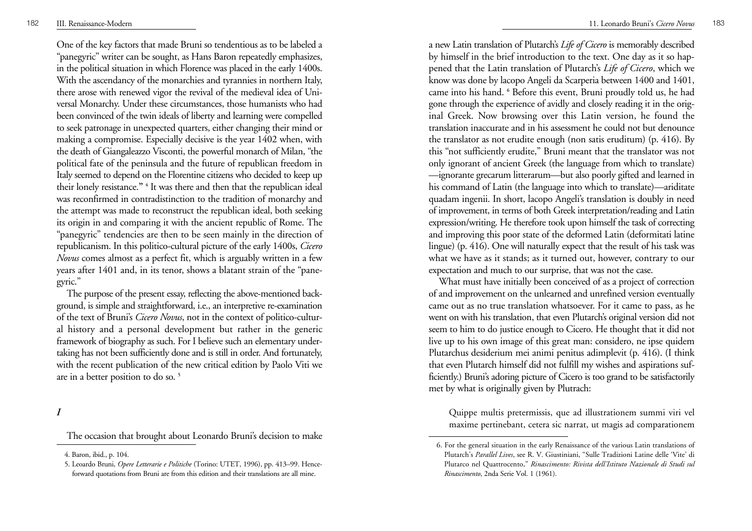One of the key factors that made Bruni so tendentious as to be labeled a "panegyric" writer can be sought, as Hans Baron repeatedly emphasizes, in the political situation in which Florence was placed in the early 1400s. With the ascendancy of the monarchies and tyrannies in northern Italy, there arose with renewed vigor the revival of the medieval idea of Universal Monarchy. Under these circumstances, those humanists who had been convinced of the twin ideals of liberty and learning were compelled to seek patronage in unexpected quarters, either changing their mind or making a compromise. Especially decisive is the year 1402 when, with the death of Giangaleazzo Visconti, the powerful monarch of Milan, "the political fate of the peninsula and the future of republican freedom in Italy seemed to depend on the Florentine citizens who decided to keep up their lonely resistance.**" <sup>4</sup>** It was there and then that the republican ideal was reconfirmed in contradistinction to the tradition of monarchy and the attempt was made to reconstruct the republican ideal, both seeking its origin in and comparing it with the ancient republic of Rome. The "panegyric" tendencies are then to be seen mainly in the direction of republicanism. In this politico-cultural picture of the early 1400s, *Cicero Novus* comes almost as a perfect fit, which is arguably written in a few years after 1401 and, in its tenor, shows a blatant strain of the "panegyric."

The purpose of the present essay, reflecting the above-mentioned background, is simple and straightforward, i.e., an interpretive re-examination of the text of Bruni's *Cicero Novus*, not in the context of politico-cultural history and a personal development but rather in the generic framework of biography as such. For I believe such an elementary undertaking has not been sufficiently done and is still in order. And fortunately, with the recent publication of the new critical edition by Paolo Viti we are in a better position to do so. **<sup>5</sup>**

*I*

The occasion that brought about Leonardo Bruni's decision to make

a new Latin translation of Plutarch's *Life of Cicero* is memorably described by himself in the brief introduction to the text. One day as it so happened that the Latin translation of Plutarch's *Life of Cicero*, which we know was done by lacopo Angeli da Scarperia between 1400 and 1401, came into his hand. **<sup>6</sup>** Before this event, Bruni proudly told us, he had gone through the experience of avidly and closely reading it in the original Greek. Now browsing over this Latin version, he found the translation inaccurate and in his assessment he could not but denounce the translator as not erudite enough (non satis eruditum) (p. 416). By this "not sufficiently erudite," Bruni meant that the translator was not only ignorant of ancient Greek (the language from which to translate) —ignorante grecarum litterarum—but also poorly gifted and learned in his command of Latin (the language into which to translate)—ariditate quadam ingenii. In short, lacopo Angeli's translation is doubly in need of improvement, in terms of both Greek interpretation/reading and Latin expression/writing. He therefore took upon himself the task of correcting and improving this poor state of the deformed Latin (deformitati latine lingue) (p. 416). One will naturally expect that the result of his task was what we have as it stands; as it turned out, however, contrary to our expectation and much to our surprise, that was not the case.

What must have initially been conceived of as a project of correction of and improvement on the unlearned and unrefined version eventually came out as no true translation whatsoever. For it came to pass, as he went on with his translation, that even Plutarch's original version did not seem to him to do justice enough to Cicero. He thought that it did not live up to his own image of this great man: considero, ne ipse quidem Plutarchus desiderium mei animi penitus adimplevit (p. 416). (I think that even Plutarch himself did not fulfill my wishes and aspirations sufficiently.) Bruni's adoring picture of Cicero is too grand to be satisfactorily met by what is originally given by Plutrach:

Quippe multis pretermissis, que ad illustrationem summi viri vel maxime pertinebant, cetera sic narrat, ut magis ad comparationem

<sup>4.</sup> Baron, ibid., p. 104.

<sup>5.</sup> Leoardo Bruni, *Opere Letterarie e Politiche* (Torino: UTET, 1996), pp. 413–99. Henceforward quotations from Bruni are from this edition and their translations are all mine.

<sup>6.</sup> For the general situation in the early Renaissance of the various Latin translations of Plutarch's *Parallel Lives*, see R. V. Giustiniani, "Sulle Tradizioni Latine delle 'Vite' di Plutarco nel Quattrocento," *Rinascimento: Rivista dell'Istituto Nazionale di Studi sul Rinascimento*, 2nda Serie Vol. 1 (1961).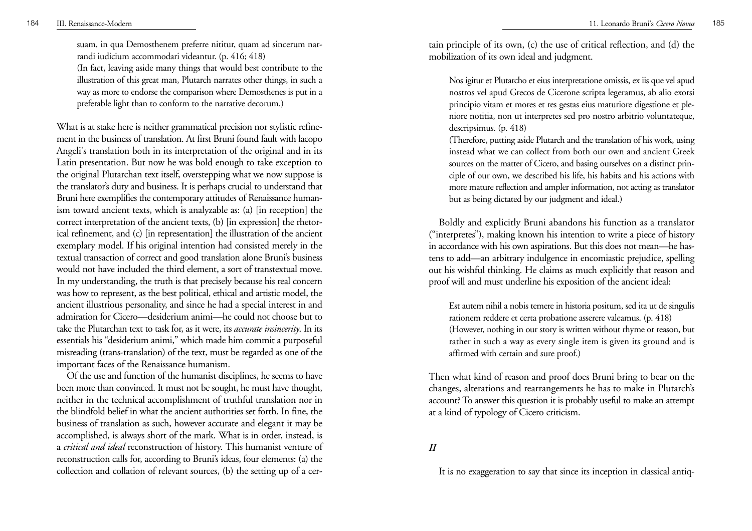suam, in qua Demosthenem preferre nititur, quam ad sincerum nar randi iudicium accommodari videantur. (p. 416; 418) (In fact, leaving aside many things that would best contribute to the illustration of this great man, Plutarch narrates other things, in such a way as more to endorse the comparison where Demosthenes is put in a preferable light than to conform to the narrative decorum.) What is at stake here is neither grammatical precision nor stylistic refine-

ment in the business of translation. At first Bruni found fault with lacopo Angeli's translation both in its interpretation of the original and in its Latin presentation. But now he was bold enough to take exception to the original Plutarchan text itself, overstepping what we now suppose is the translator's duty and business. It is perhaps crucial to understand that Bruni here exemplifies the contemporary attitudes of Renaissance human ism toward ancient texts, which is analyzable as: (a) [in reception] the correct interpretation of the ancient texts, (b) [in expression] the rhetor ical refinement, and (c) [in representation] the illustration of the ancient exemplary model. If his original intention had consisted merely in the textual transaction of correct and good translation alone Bruni's business would not have included the third element, a sort of transtextual move. In my understanding, the truth is that precisely because his real concern was how to represent, as the best political, ethical and artistic model, the ancient illustrious personality, and since he had a special interest in and admiration for Cicero—desiderium animi—he could not choose but to take the Plutarchan text to task for, as it were, its *accurate insincerity*. In its essentials his "desiderium animi," which made him commit a purposeful misreading (trans-translation) of the text, must be regarded as one of the important faces of the Renaissance humanism. Of the use and function of the humanist disciplines, he seems to have

been more than convinced. It must not be sought, he must have thought, neither in the technical accomplishment of truthful translation nor in the blindfold belief in what the ancient authorities set forth. In fine, the business of translation as such, however accurate and elegant it may be accomplished, is always short of the mark. What is in order, instead, is <sup>a</sup> *critical and ideal* reconstruction of history. This humanist venture of reconstruction calls for, according to Bruni's ideas, four elements: (a) the collection and collation of relevant sources, (b) the setting up of a certain principle of its own, (c) the use of critical reflection, and (d) the mobilization of its own ideal and judgment.

Nos igitur et Plutarcho et eius interpretatione omissis, ex iis que vel apud nostros vel apud Grecos de Cicerone scripta legeramus, ab alio exorsi principio vitam et mores et res gestas eius maturiore digestione et pleniore notitia, non ut interpretes sed pro nostro arbitrio voluntateque, descripsimus. (p. 418)

(Therefore, putting aside Plutarch and the translation of his work, using instead what we can collect from both our own and ancient Greek sources on the matter of Cicero, and basing ourselves on a distinct principle of our own, we described his life, his habits and his actions with more mature reflection and ampler information, not acting as translator but as being dictated by our judgment and ideal.)

Boldly and explicitly Bruni abandons his function as a translator ("interpretes"), making known his intention to write a piece of history in accordance with his own aspirations. But this does not mean—he hastens to add—an arbitrary indulgence in encomiastic prejudice, spelling out his wishful thinking. He claims as much explicitly that reason and proof will and must underline his exposition of the ancient ideal:

Est autem nihil a nobis temere in historia positum, sed ita ut de singulis rationem reddere et certa probatione asserere valeamus. (p. 418) (However, nothing in our story is written without rhyme or reason, but rather in such a way as every single item is given its ground and is affirmed with certain and sure proof.)

Then what kind of reason and proof does Bruni bring to bear on the changes, alterations and rearrangements he has to make in Plutarch's account? To answer this question it is probably useful to make an attempt at a kind of typology of Cicero criticism.

*II*

It is no exaggeration to say that since its inception in classical antiq-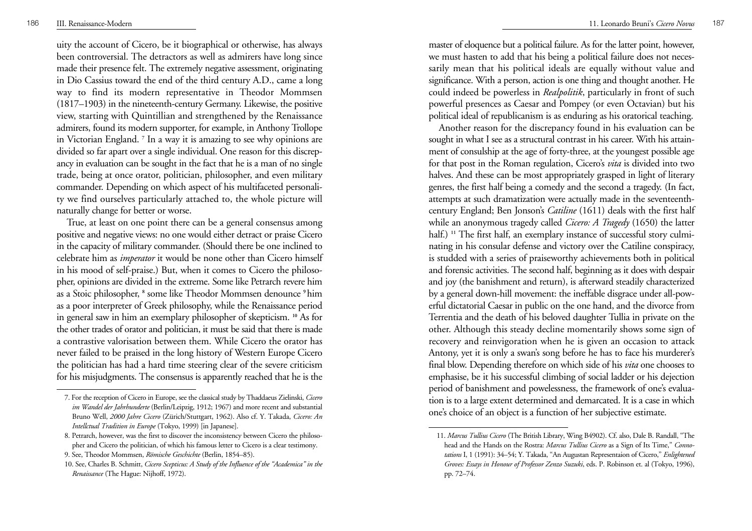uity the account of Cicero, be it biographical or otherwise, has always been controversial. The detractors as well as admirers have long since made their presence felt. The extremely negative assessment, originating in Dio Cassius toward the end of the third century A.D., came a long way to find its modern representative in Theodor Mommsen (1817–1903) in the nineteenth-century Germany. Likewise, the positive view, starting with Quintillian and strengthened by the Renaissance admirers, found its modern supporter, for example, in Anthony Trollope in Victorian England. **<sup>7</sup>** In a way it is amazing to see why opinions are divided so far apart over a single individual. One reason for this discrepancy in evaluation can be sought in the fact that he is a man of no single trade, being at once orator, politician, philosopher, and even military commander. Depending on which aspect of his multifaceted personality we find ourselves particularly attached to, the whole picture will naturally change for better or worse.

True, at least on one point there can be a general consensus among positive and negative views: no one would either detract or praise Cicero in the capacity of military commander. (Should there be one inclined to celebrate him as *imperator* it would be none other than Cicero himself in his mood of self-praise.) But, when it comes to Cicero the philosopher, opinions are divided in the extreme. Some like Petrarch revere him as a Stoic philosopher, **<sup>8</sup>** some like Theodor Mommsen denounce **9** him as a poor interpreter of Greek philosophy, while the Renaissance period in general saw in him an exemplary philosopher of skepticism. **<sup>10</sup>** As for the other trades of orator and politician, it must be said that there is made a contrastive valorisation between them. While Cicero the orator has never failed to be praised in the long history of Western Europe Cicero the politician has had a hard time steering clear of the severe criticism for his misjudgments. The consensus is apparently reached that he is the master of eloquence but a political failure. As for the latter point, however, we must hasten to add that his being a political failure does not necessarily mean that his political ideals are equally without value and significance. With a person, action is one thing and thought another. He could indeed be powerless in *Realpolitik*, particularly in front of such powerful presences as Caesar and Pompey (or even Octavian) but his political ideal of republicanism is as enduring as his oratorical teaching.

Another reason for the discrepancy found in his evaluation can be sought in what I see as a structural contrast in his career. With his attainment of consulship at the age of forty-three, at the youngest possible age for that post in the Roman regulation, Cicero's *vita* is divided into two halves. And these can be most appropriately grasped in light of literary genres, the first half being a comedy and the second a tragedy. (In fact, attempts at such dramatization were actually made in the seventeenthcentury England; Ben Jonson's *Catiline* (1611) deals with the first half while an anonymous tragedy called *Cicero: A Tragedy* (1650) the latter half.) <sup>11</sup> The first half, an exemplary instance of successful story culminating in his consular defense and victory over the Catiline conspiracy, is studded with a series of praiseworthy achievements both in political and forensic activities. The second half, beginning as it does with despair and joy (the banishment and return), is afterward steadily characterized by a general down-hill movement: the ineffable disgrace under all-powerful dictatorial Caesar in public on the one hand, and the divorce from Terrentia and the death of his beloved daughter Tullia in private on the other. Although this steady decline momentarily shows some sign of recovery and reinvigoration when he is given an occasion to attack Antony, yet it is only a swan's song before he has to face his murderer's final blow. Depending therefore on which side of his *vita* one chooses to emphasise, be it his successful climbing of social ladder or his dejection period of banishment and powelessness, the framework of one's evaluation is to a large extent determined and demarcated. It is a case in which one's choice of an object is a function of her subjective estimate.

<sup>7.</sup> For the reception of Cicero in Europe, see the classical study by Thaddaeus Zielinski, *Cicero im Wandel der Jahrhunderte* (Berlin/Leipzig, 1912; 1967) and more recent and substantial Bruno Well, *2000 Jahre Cicero* (Zürich/Stuttgart, 1962). Also cf. Y. Takada, *Cicero: An Intellctual Tradition in Europe* (Tokyo, 1999) [in Japanese].

<sup>8.</sup> Petrarch, however, was the first to discover the inconsistency between Cicero the philosopher and Cicero the politician, of which his famous letter to Cicero is a clear testimony.

<sup>9.</sup> See, Theodor Mommsen, *Römische Geschichte* (Berlin, 1854–85).

<sup>10.</sup> See, Charles B. Schmitt, *Cicero Scepticus: A Study of the Influence of the "Academica" in the Renaissance* (The Hague: Nijhoff, 1972).

<sup>11.</sup> *Marcus Tullius Cicero* (The British Library, Wing B4902). Cf. also, Dale B. Randall, "The head and the Hands on the Rostra: *Marcus Tullius Cicero* as a Sign of Its Time," *Connotations* I, 1 (1991): 34–54; Y. Takada, "An Augustan Representaion of Cicero," *Enlightened Groves: Essays in Honour of Professor Zenzo Suzuki*, eds. P. Robinson et. al (Tokyo, 1996), pp. 72–74.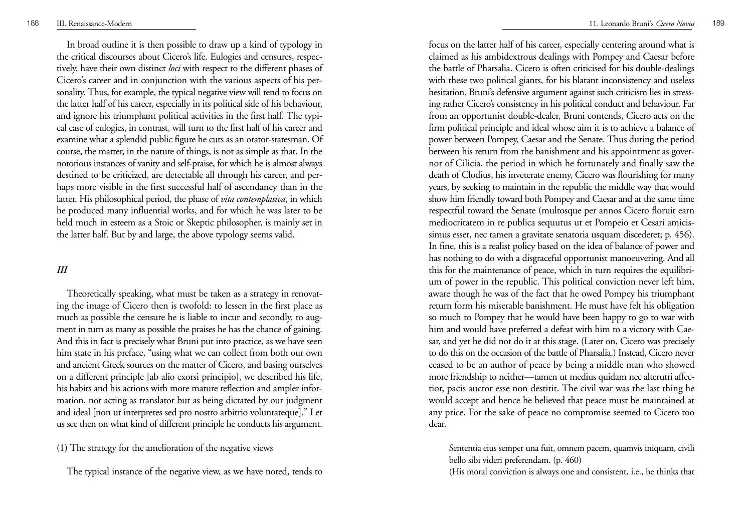In broad outline it is then possible to draw up a kind of typology in the critical discourses about Cicero's life. Eulogies and censures, respectively, have their own distinct *loci* with respect to the different phases of Cicero's career and in conjunction with the various aspects of his personality. Thus, for example, the typical negative view will tend to focus on the latter half of his career, especially in its political side of his behaviour, and ignore his triumphant political activities in the first half. The typical case of eulogies, in contrast, will turn to the first half of his career and examine what a splendid public figure he cuts as an orator-statesman. Of course, the matter, in the nature of things, is not as simple as that. In the notorious instances of vanity and self-praise, for which he is almost always destined to be criticized, are detectable all through his career, and perhaps more visible in the first successful half of ascendancy than in the latter. His philosophical period, the phase of *vita contemplativa*, in which he produced many influential works, and for which he was later to be held much in esteem as a Stoic or Skeptic philosopher, is mainly set in the latter half. But by and large, the above typology seems valid.

# *III*

Theoretically speaking, what must be taken as a strategy in renovating the image of Cicero then is twofold: to lessen in the first place as much as possible the censure he is liable to incur and secondly, to augment in turn as many as possible the praises he has the chance of gaining. And this in fact is precisely what Bruni put into practice, as we have seen him state in his preface, "using what we can collect from both our own and ancient Greek sources on the matter of Cicero, and basing ourselves on a different principle [ab alio exorsi principio], we described his life, his habits and his actions with more mature reflection and ampler information, not acting as translator but as being dictated by our judgment and ideal [non ut interpretes sed pro nostro arbitrio voluntateque]." Let us see then on what kind of different principle he conducts his argument.

(1) The strategy for the amelioration of the negative views

The typical instance of the negative view, as we have noted, tends to

focus on the latter half of his career, especially centering around what is claimed as his ambidextrous dealings with Pompey and Caesar before the battle of Pharsalia. Cicero is often criticised for his double-dealings with these two political giants, for his blatant inconsistency and useless hesitation. Bruni's defensive argument against such criticism lies in stressing rather Cicero's consistency in his political conduct and behaviour. Far from an opportunist double-dealer, Bruni contends, Cicero acts on the firm political principle and ideal whose aim it is to achieve a balance of power between Pompey, Caesar and the Senate. Thus during the period between his return from the banishment and his appointment as governor of Cilicia, the period in which he fortunately and finally saw the death of Clodius, his inveterate enemy, Cicero was flourishing for many years, by seeking to maintain in the republic the middle way that would show him friendly toward both Pompey and Caesar and at the same time respectful toward the Senate (multosque per annos Cicero floruit earn mediocritatem in re publica sequutus ut et Pompeio et Cesari amicissimus esset, nec tamen a gravitate senatoria usquam discederet; p. 456). In fine, this is a realist policy based on the idea of balance of power and has nothing to do with a disgraceful opportunist manoeuvering. And all this for the maintenance of peace, which in turn requires the equilibrium of power in the republic. This political conviction never left him, aware though he was of the fact that he owed Pompey his triumphant return form his miserable banishment. He must have felt his obligation so much to Pompey that he would have been happy to go to war with him and would have preferred a defeat with him to a victory with Caesar, and yet he did not do it at this stage. (Later on, Cicero was precisely to do this on the occasion of the battle of Pharsalia.) Instead, Cicero never ceased to be an author of peace by being a middle man who showed more friendship to neither—tamen ut medius quidam nec alterutri affectior, pacis auctor esse non destitit. The civil war was the last thing he would accept and hence he believed that peace must be maintained at any price. For the sake of peace no compromise seemed to Cicero too dear.

Sententia eius semper una fuit, omnem pacem, quamvis iniquam, civili bello sibi videri preferendam. (p. 460)

(His moral conviction is always one and consistent, i.e., he thinks that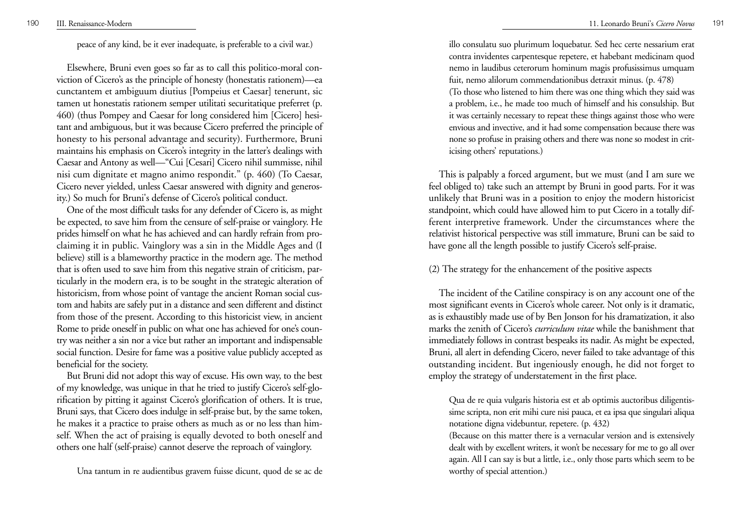# peace of any kind, be it ever inadequate, is preferable to a civil war.)

Elsewhere, Bruni even goes so far as to call this politico-moral conviction of Cicero's as the principle of honesty (honestatis rationem)—ea cunctantem et ambiguum diutius [Pompeius et Caesar] tenerunt, sic tamen ut honestatis rationem semper utilitati securitatique preferret (p. 460) (thus Pompey and Caesar for long considered him [Cicero] hesitant and ambiguous, but it was because Cicero preferred the principle of honesty to his personal advantage and security). Furthermore, Bruni maintains his emphasis on Cicero's integrity in the latter's dealings with Caesar and Antony as well—"Cui [Cesari] Cicero nihil summisse, nihil nisi cum dignitate et magno animo respondit." (p. 460) (To Caesar, Cicero never yielded, unless Caesar answered with dignity and generosity.) So much for Bruni's defense of Cicero's political conduct.

One of the most difficult tasks for any defender of Cicero is, as might be expected, to save him from the censure of self-praise or vainglory. He prides himself on what he has achieved and can hardly refrain from proclaiming it in public. Vainglory was a sin in the Middle Ages and (I believe) still is a blameworthy practice in the modern age. The method that is often used to save him from this negative strain of criticism, particularly in the modern era, is to be sought in the strategic alteration of historicism, from whose point of vantage the ancient Roman social custom and habits are safely put in a distance and seen different and distinct from those of the present. According to this historicist view, in ancient Rome to pride oneself in public on what one has achieved for one's country was neither a sin nor a vice but rather an important and indispensable social function. Desire for fame was a positive value publicly accepted as beneficial for the society.

But Bruni did not adopt this way of excuse. His own way, to the best of my knowledge, was unique in that he tried to justify Cicero's self-glorification by pitting it against Cicero's glorification of others. It is true, Bruni says, that Cicero does indulge in self-praise but, by the same token, he makes it a practice to praise others as much as or no less than himself. When the act of praising is equally devoted to both oneself and others one half (self-praise) cannot deserve the reproach of vainglory.

Una tantum in re audientibus gravem fuisse dicunt, quod de se ac de

illo consulatu suo plurimum loquebatur. Sed hec certe nessarium erat contra invidentes carpentesque repetere, et habebant medicinam quod nemo in laudibus ceterorum hominum magis profusissimus umquam fuit, nemo alilorum commendationibus detraxit minus. (p. 478) (To those who listened to him there was one thing which they said was a problem, i.e., he made too much of himself and his consulship. But it was certainly necessary to repeat these things against those who were envious and invective, and it had some compensation because there was none so profuse in praising others and there was none so modest in criticising others' reputations.)

This is palpably a forced argument, but we must (and I am sure we feel obliged to) take such an attempt by Bruni in good parts. For it was unlikely that Bruni was in a position to enjoy the modern historicist standpoint, which could have allowed him to put Cicero in a totally different interpretive framework. Under the circumstances where the relativist historical perspective was still immature, Bruni can be said to have gone all the length possible to justify Cicero's self-praise.

(2) The strategy for the enhancement of the positive aspects

The incident of the Catiline conspiracy is on any account one of the most significant events in Cicero's whole career. Not only is it dramatic, as is exhaustibly made use of by Ben Jonson for his dramatization, it also marks the zenith of Cicero's *curriculum vitae* while the banishment that immediately follows in contrast bespeaks its nadir. As might be expected, Bruni, all alert in defending Cicero, never failed to take advantage of this outstanding incident. But ingeniously enough, he did not forget to employ the strategy of understatement in the first place.

Qua de re quia vulgaris historia est et ab optimis auctoribus diligentissime scripta, non erit mihi cure nisi pauca, et ea ipsa que singulari aliqua notatione digna videbuntur, repetere. (p. 432)

(Because on this matter there is a vernacular version and is extensively dealt with by excellent writers, it won't be necessary for me to go all over again. All I can say is but a little, i.e., only those parts which seem to be worthy of special attention.)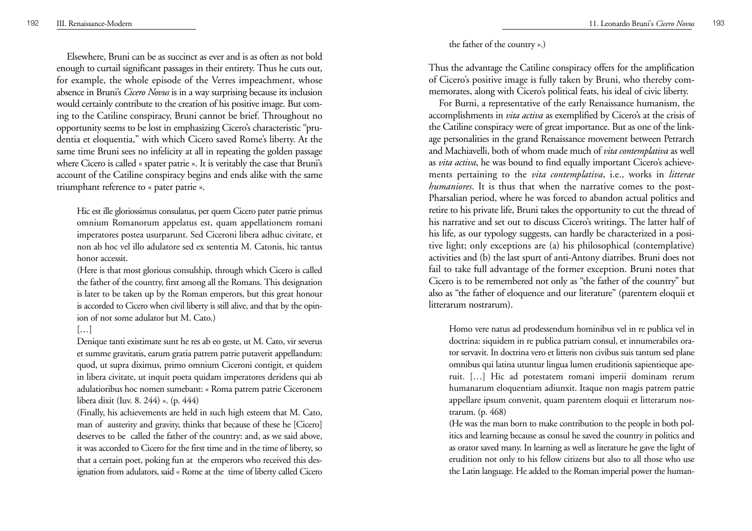Elsewhere, Bruni can be as succinct as ever and is as often as not bold enough to curtail significant passages in their entirety. Thus he cuts out, for example, the whole episode of the Verres impeachment, whose absence in Bruni's *Cicero Novus* is in a way surprising because its inclusion would certainly contribute to the creation of his positive image. But coming to the Catiline conspiracy, Bruni cannot be brief. Throughout no opportunity seems to be lost in emphasizing Cicero's characteristic "prudentia et eloquentia," with which Cicero saved Rome's liberty. At the same time Bruni sees no infelicity at all in repeating the golden passage where Cicero is called « spater patrie ». It is veritably the case that Bruni's account of the Catiline conspiracy begins and ends alike with the same triumphant reference to « pater patrie ».

Hic est ille gloriossimus consulatus, per quem Cicero pater patrie primus omnium Romanorum appelatus est, quam appellationem romani imperatores postea usurparunt. Sed Ciceroni libera adhuc civitate, et non ab hoc vel illo adulatore sed ex sententia M. Catonis, hic tantus honor accessit.

(Here is that most glorious consulship, through which Cicero is called the father of the country, first among all the Romans. This designation is later to be taken up by the Roman emperors, but this great honour is accorded to Cicero when civil liberty is still alive, and that by the opinion of not some adulator but M. Cato.)

# $[\ldots]$

Denique tanti existimate sunt he res ab eo geste, ut M. Cato, vir severus et summe gravitatis, earum gratia patrem patrie putaverit appellandum: quod, ut supra diximus, primo omnium Ciceroni contigit, et quidem in libera civitate, ut inquit poeta quidam imperatores deridens qui ab adulatioribus hoc nomen sumebant: « Roma patrem patrie Ciceronem libera dixit (Iuv. 8. 244) ». (p. 444)

(Finally, his achievements are held in such high esteem that M. Cato, man of austerity and gravity, thinks that because of these he [Cicero] deserves to be called the father of the country: and, as we said above, it was accorded to Cicero for the first time and in the time of liberty, so that a certain poet, poking fun at the emperors who received this designation from adulators, said « Rome at the time of liberty called Cicero

## the father of the country ».)

Thus the advantage the Catiline conspiracy offers for the amplification of Cicero's positive image is fully taken by Bruni, who thereby commemorates, along with Cicero's political feats, his ideal of civic liberty.

For Burni, a representative of the early Renaissance humanism, the accomplishments in *vita activa* as exemplified by Cicero's at the crisis of the Catiline conspiracy were of great importance. But as one of the linkage personalities in the grand Renaissance movement between Petrarch and Machiavelli, both of whom made much of *vita contemplativa* as well as *vita activa*, he was bound to find equally important Cicero's achievements pertaining to the *vita contemplativa*, i.e., works in *litterae humaniores*. It is thus that when the narrative comes to the post-Pharsalian period, where he was forced to abandon actual politics and retire to his private life, Bruni takes the opportunity to cut the thread of his narrative and set out to discuss Cicero's writings. The latter half of his life, as our typology suggests, can hardly be characterized in a positive light; only exceptions are (a) his philosophical (contemplative) activities and (b) the last spurt of anti-Antony diatribes. Bruni does not fail to take full advantage of the former exception. Bruni notes that Cicero is to be remembered not only as "the father of the country" but also as "the father of eloquence and our literature" (parentem eloquii et litterarum nostrarum).

Homo vere natus ad prodessendum hominibus vel in re publica vel in doctrina: siquidem in re publica patriam consul, et innumerabiles orator servavit. In doctrina vero et litteris non civibus suis tantum sed plane omnibus qui latina utuntur lingua lumen eruditionis sapientieque aperuit. […] Hic ad potestatem romani imperii dominam rerum humanarum eloquentiam adiunxit. Itaque non magis patrem patrie appellare ipsum convenit, quam parentem eloquii et litterarum nostrarum. (p. 468)

(He was the man born to make contribution to the people in both politics and learning because as consul he saved the country in politics and as orator saved many. In learning as well as literature he gave the light of erudition not only to his fellow citizens but also to all those who use the Latin language. He added to the Roman imperial power the human-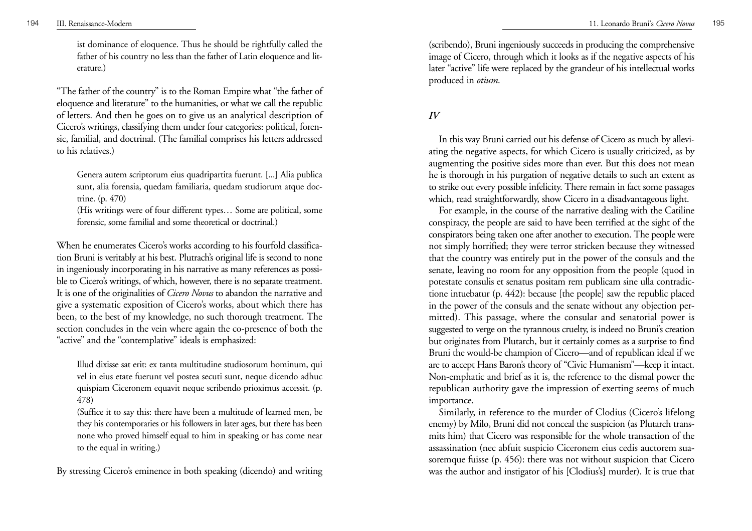ist dominance of eloquence. Thus he should be rightfully called the father of his country no less than the father of Latin eloquence and literature.)

"The father of the country" is to the Roman Empire what "the father of eloquence and literature" to the humanities, or what we call the republic of letters. And then he goes on to give us an analytical description of Cicero's writings, classifying them under four categories: political, forensic, familial, and doctrinal. (The familial comprises his letters addressed to his relatives.)

Genera autem scriptorum eius quadripartita fuerunt. [...] Alia publica sunt, alia forensia, quedam familiaria, quedam studiorum atque doctrine. (p. 470)

(His writings were of four different types… Some are political, some forensic, some familial and some theoretical or doctrinal.)

When he enumerates Cicero's works according to his fourfold classification Bruni is veritably at his best. Plutrach's original life is second to none in ingeniously incorporating in his narrative as many references as possible to Cicero's writings, of which, however, there is no separate treatment. It is one of the originalities of *Cicero Novus* to abandon the narrative and <sup>g</sup>ive a systematic exposition of Cicero's works, about which there has been, to the best of my knowledge, no such thorough treatment. The section concludes in the vein where again the co-presence of both the "active" and the "contemplative" ideals is emphasized:

Illud dixisse sat erit: ex tanta multitudine studiosorum hominum, qui vel in eius etate fuerunt vel postea secuti sunt, neque dicendo adhuc quispiam Ciceronem equavit neque scribendo prioximus accessit. (p. 478)

(Suffice it to say this: there have been a multitude of learned men, be they his contemporaries or his followers in later ages, but there has been none who proved himself equal to him in speaking or has come near to the equal in writing.)

By stressing Cicero's eminence in both speaking (dicendo) and writing

(scribendo), Bruni ingeniously succeeds in producing the comprehensive image of Cicero, through which it looks as if the negative aspects of his later "active" life were replaced by the grandeur of his intellectual works produced in *otium*.

# *IV*

In this way Bruni carried out his defense of Cicero as much by alleviating the negative aspects, for which Cicero is usually criticized, as by augmenting the positive sides more than ever. But this does not mean he is thorough in his purgation of negative details to such an extent as to strike out every possible infelicity. There remain in fact some passages which, read straightforwardly, show Cicero in a disadvantageous light.

For example, in the course of the narrative dealing with the Catiline conspiracy, the people are said to have been terrified at the sight of the conspirators being taken one after another to execution. The people were not simply horrified; they were terror stricken because they witnessed that the country was entirely put in the power of the consuls and the senate, leaving no room for any opposition from the people (quod in potestate consulis et senatus positam rem publicam sine ulla contradictione intuebatur (p. 442): because [the people] saw the republic placed in the power of the consuls and the senate without any objection permitted). This passage, where the consular and senatorial power is suggested to verge on the tyrannous cruelty, is indeed no Bruni's creation but originates from Plutarch, but it certainly comes as a surprise to find Bruni the would-be champion of Cicero—and of republican ideal if we are to accept Hans Baron's theory of "Civic Humanism"—keep it intact. Non-emphatic and brief as it is, the reference to the dismal power the republican authority gave the impression of exerting seems of much importance.

Similarly, in reference to the murder of Clodius (Cicero's lifelong enemy) by Milo, Bruni did not conceal the suspicion (as Plutarch transmits him) that Cicero was responsible for the whole transaction of the assassination (nec abfuit suspicio Ciceronem eius cedis auctorem suasoremque fuisse (p. 456): there was not without suspicion that Cicero was the author and instigator of his [Clodius's] murder). It is true that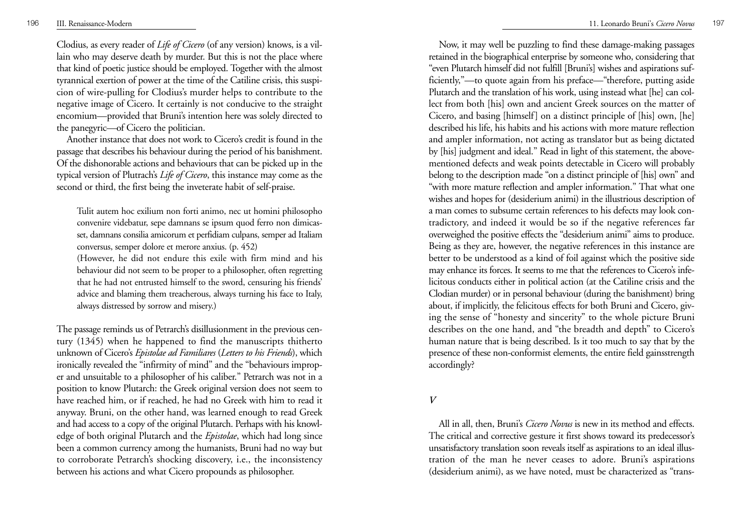Clodius, as every reader of *Life of Cicero* (of any version) knows, is a villain who may deserve death by murder. But this is not the place where that kind of poetic justice should be employed. Together with the almost tyrannical exertion of power at the time of the Catiline crisis, this suspicion of wire-pulling for Clodius's murder helps to contribute to the negative image of Cicero. It certainly is not conducive to the straight encomium—provided that Bruni's intention here was solely directed to the panegyric—of Cicero the politician.

Another instance that does not work to Cicero's credit is found in the passage that describes his behaviour during the period of his banishment. Of the dishonorable actions and behaviours that can be picked up in the typical version of Plutrach's *Life of Cicero*, this instance may come as the second or third, the first being the inveterate habit of self-praise.

Tulit autem hoc exilium non forti animo, nec ut homini philosopho convenire videbatur, sepe damnans se ipsum quod ferro non dimicasset, damnans consilia amicorum et perfidiam culpans, semper ad Italiam conversus, semper dolore et merore anxius. (p. 452)

(However, he did not endure this exile with firm mind and his behaviour did not seem to be proper to a philosopher, often regretting that he had not entrusted himself to the sword, censuring his friends' advice and blaming them treacherous, always turning his face to Italy, always distressed by sorrow and misery.)

The passage reminds us of Petrarch's disillusionment in the previous century (1345) when he happened to find the manuscripts thitherto unknown of Cicero's *Epistolae ad Familiares* (*Letters to his Friends*), which ironically revealed the "infirmity of mind" and the "behaviours improper and unsuitable to a philosopher of his caliber." Petrarch was not in a position to know Plutarch: the Greek original version does not seem to have reached him, or if reached, he had no Greek with him to read it anyway. Bruni, on the other hand, was learned enough to read Greek and had access to a copy of the original Plutarch. Perhaps with his knowledge of both original Plutarch and the *Epistolae*, which had long since been a common currency among the humanists, Bruni had no way but to corroborate Petrarch's shocking discovery, i.e., the inconsistency between his actions and what Cicero propounds as philosopher.

Now, it may well be puzzling to find these damage-making passages retained in the biographical enterprise by someone who, considering that "even Plutarch himself did not fulfill [Bruni's] wishes and aspirations sufficiently,"—to quote again from his preface—"therefore, putting aside Plutarch and the translation of his work, using instead what [he] can collect from both [his] own and ancient Greek sources on the matter of Cicero, and basing [himself] on a distinct principle of [his] own, [he] described his life, his habits and his actions with more mature reflection and ampler information, not acting as translator but as being dictated by [his] judgment and ideal." Read in light of this statement, the abovementioned defects and weak points detectable in Cicero will probably belong to the description made "on a distinct principle of [his] own" and "with more mature reflection and ampler information." That what one wishes and hopes for (desiderium animi) in the illustrious description of a man comes to subsume certain references to his defects may look contradictory, and indeed it would be so if the negative references far overweighed the positive effects the "desiderium animi" aims to produce. Being as they are, however, the negative references in this instance are better to be understood as a kind of foil against which the positive side may enhance its forces. It seems to me that the references to Cicero's infelicitous conducts either in political action (at the Catiline crisis and the Clodian murder) or in personal behaviour (during the banishment) bring about, if implicitly, the felicitous effects for both Bruni and Cicero, giving the sense of "honesty and sincerity" to the whole picture Bruni describes on the one hand, and "the breadth and depth" to Cicero's human nature that is being described. Is it too much to say that by the presence of these non-conformist elements, the entire field gainsstrength accordingly?

## *V*

All in all, then, Bruni's *Cicero Novus* is new in its method and effects. The critical and corrective gesture it first shows toward its predecessor's unsatisfactory translation soon reveals itself as aspirations to an ideal illustration of the man he never ceases to adore. Bruni's aspirations (desiderium animi), as we have noted, must be characterized as "trans